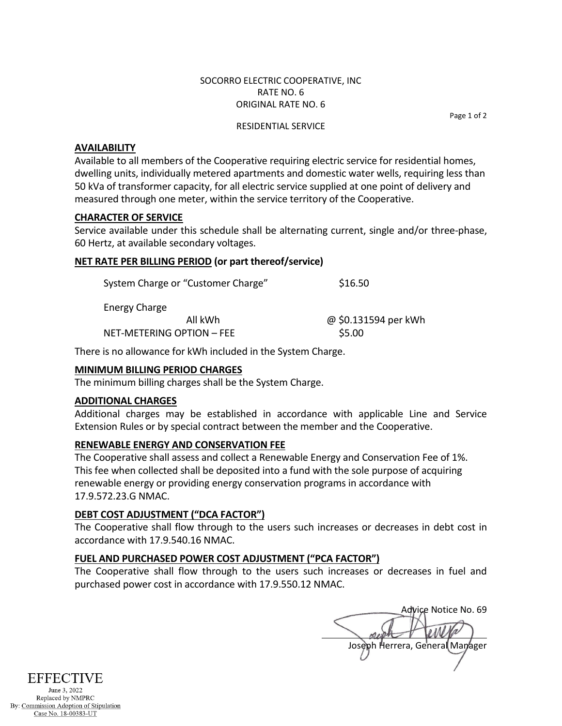### SOCORRO ELECTRIC COOPERATIVE, INC RATE NO. 6 ORIGINAL RATE NO. 6

Page 1 of 2

#### RESIDENTIAL SERVICE

## **AVAILABILITY**

Available to all members of the Cooperative requiring electric service for residential homes, dwelling units, individually metered apartments and domestic water wells, requiring less than 50 kVa of transformer capacity, for all electric service supplied at one point of delivery and measured through one meter, within the service territory of the Cooperative.

## **CHARACTER OF SERVICE**

Service available under this schedule shall be alternating current, single and/or three-phase, 60 Hertz, at available secondary voltages.

## **NET RATE PER BILLING PERIOD (or part thereof/service)**

| System Charge or "Customer Charge" | \$16.50              |
|------------------------------------|----------------------|
| Energy Charge                      |                      |
| All kWh                            | @ \$0.131594 per kWh |
| NET-METERING OPTION - FEE          | \$5.00               |

There is no allowance for kWh included in the System Charge.

## **MINIMUM BILLING PERIOD CHARGES**

The minimum billing charges shall be the System Charge.

### **ADDITIONAL CHARGES**

Additional charges may be established in accordance with applicable Line and Service Extension Rules or by special contract between the member and the Cooperative.

### **RENEWABLE ENERGY AND CONSERVATION FEE**

The Cooperative shall assess and collect a Renewable Energy and Conservation Fee of 1%. This fee when collected shall be deposited into a fund with the sole purpose of acquiring renewable energy or providing energy conservation programs in accordance with 17.9.572.23.G NMAC.

# **DEBT COST ADJUSTMENT ("DCA FACTOR")**

The Cooperative shall flow through to the users such increases or decreases in debt cost in accordance with 17.9.540.16 NMAC.

## **FUEL AND PURCHASED POWER COST ADJUSTMENT ("PCA FACTOR")**

The Cooperative shall flow through to the users such increases or decreases in fuel and purchased power cost in accordance with 17.9.550.12 NMAC.

Advice Notice No. 69 Joseph Herrera, General Manager



June 3, 2022 Replaced by NMPRC By: Commission Adoption of Stipulation Case No. 18-00383-UT